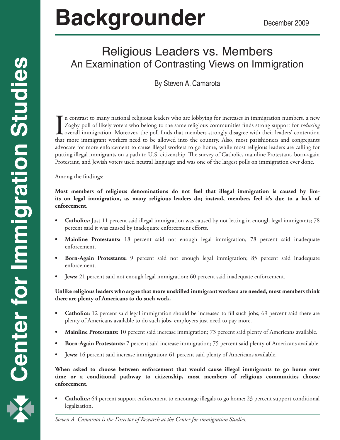# **Backgrounder** December 2009

## Religious Leaders vs. Members An Examination of Contrasting Views on Immigration

By Steven A. Camarota

In contrast to many national religious leaders who are lobbying for increases in immigration numbers, a new Zogby poll of likely voters who belong to the same religious communities finds strong support for *reducing* overa n contrast to many national religious leaders who are lobbying for increases in immigration numbers, a new Zogby poll of likely voters who belong to the same religious communities finds strong support for *reducing* overall immigration. Moreover, the poll finds that members strongly disagree with their leaders' contention advocate for more enforcement to cause illegal workers to go home, while most religious leaders are calling for putting illegal immigrants on a path to U.S. citizenship. The survey of Catholic, mainline Protestant, born-again Protestant, and Jewish voters used neutral language and was one of the largest polls on immigration ever done.

Among the findings:

**Most members of religious denominations do not feel that illegal immigration is caused by limits on legal immigration, as many religious leaders do; instead, members feel it's due to a lack of enforcement.** 

- **Catholics:** Just 11 percent said illegal immigration was caused by not letting in enough legal immigrants; 78 percent said it was caused by inadequate enforcement efforts.
- **• Mainline Protestants:** 18 percent said not enough legal immigration; 78 percent said inadequate enforcement.
- **Born-Again Protestants:** 9 percent said not enough legal immigration; 85 percent said inadequate enforcement.
- **Jews:** 21 percent said not enough legal immigration; 60 percent said inadequate enforcement.

**Unlike religious leaders who argue that more unskilled immigrant workers are needed, most members think there are plenty of Americans to do such work.**

- **Catholics:** 12 percent said legal immigration should be increased to fill such jobs; 69 percent said there are plenty of Americans available to do such jobs, employers just need to pay more.
- **Mainline Protestants:** 10 percent said increase immigration; 73 percent said plenty of Americans available.
- **Born-Again Protestants:** 7 percent said increase immigration; 75 percent said plenty of Americans available.
- **Jews:** 16 percent said increase immigration; 61 percent said plenty of Americans available.

**When asked to choose between enforcement that would cause illegal immigrants to go home over time or a conditional pathway to citizenship, most members of religious communities choose enforcement.** 

**Catholics:** 64 percent support enforcement to encourage illegals to go home; 23 percent support conditional legalization.

1 *Steven A. Camarota is the Director of Research at the Center for immigration Studies.*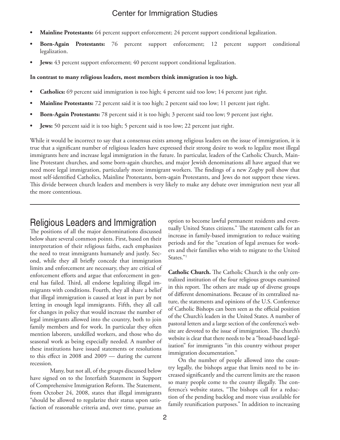- **Mainline Protestants:** 64 percent support enforcement; 24 percent support conditional legalization.
- **Born-Again Protestants:** 76 percent support enforcement; 12 percent support conditional legalization.
- **Jews:** 43 percent support enforcement; 40 percent support conditional legalization.

#### **In contrast to many religious leaders, most members think immigration is too high.**

- **Catholics:** 69 percent said immigration is too high; 4 percent said too low; 14 percent just right.
- **• Mainline Protestants:** 72 percent said it is too high; 2 percent said too low; 11 percent just right.
- **Born-Again Protestants:** 78 percent said it is too high; 3 percent said too low; 9 percent just right.
- **Jews:** 50 percent said it is too high; 5 percent said is too low; 22 percent just right.

While it would be incorrect to say that a consensus exists among religious leaders on the issue of immigration, it is true that a significant number of religious leaders have expressed their strong desire to work to legalize most illegal immigrants here and increase legal immigration in the future. In particular, leaders of the Catholic Church, Mainline Protestant churches, and some born-again churches, and major Jewish denominations all have argued that we need more legal immigration, particularly more immigrant workers. The findings of a new Zogby poll show that most self-identified Catholics, Mainline Protestants, born-again Protestants, and Jews do not support these views. This divide between church leaders and members is very likely to make any debate over immigration next year all the more contentious.

### Religious Leaders and Immigration

The positions of all the major denominations discussed below share several common points. First, based on their interpretation of their religious faiths, each emphasizes the need to treat immigrants humanely and justly. Second, while they all briefly concede that immigration limits and enforcement are necessary, they are critical of enforcement efforts and argue that enforcement in general has failed. Third, all endorse legalizing illegal immigrants with conditions. Fourth, they all share a belief that illegal immigration is caused at least in part by not letting in enough legal immigrants. Fifth, they all call for changes in policy that would increase the number of legal immigrants allowed into the country, both to join family members and for work. In particular they often mention laborers, unskilled workers, and those who do seasonal work as being especially needed. A number of these institutions have issued statements or resolutions to this effect in 2008 and 2009 — during the current recession.

Many, but not all, of the groups discussed below have signed on to the Interfaith Statement in Support of Comprehensive Immigration Reform. The Statement, from October 24, 2008, states that illegal immigrants "should be allowed to regularize their status upon satisfaction of reasonable criteria and, over time, pursue an

option to become lawful permanent residents and eventually United States citizens." The statement calls for an increase in family-based immigration to reduce waiting periods and for the "creation of legal avenues for workers and their families who wish to migrate to the United States."1

**Catholic Church.** The Catholic Church is the only centralized institution of the four religious groups examined in this report. The others are made up of diverse groups of different denominations. Because of its centralized nature, the statements and opinions of the U.S. Conference of Catholic Bishops can been seen as the official position of the Church's leaders in the United States. A number of pastoral letters and a large section of the conference's website are devoted to the issue of immigration. The church's website is clear that there needs to be a "broad-based legalization" for immigrants "in this country without proper immigration documentation."

On the number of people allowed into the country legally, the bishops argue that limits need to be increased significantly and the current limits are the reason so many people come to the county illegally. The conference's website states, "The bishops call for a reduction of the pending backlog and more visas available for family reunification purposes." In addition to increasing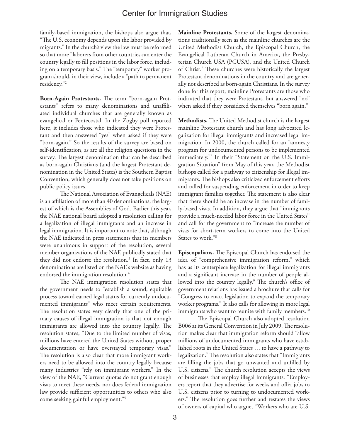family-based immigration, the bishops also argue that, "The U.S. economy depends upon the labor provided by migrants." In the church's view the law must be reformed so that more "laborers from other countries can enter the country legally to fill positions in the labor force, including on a temporary basis." The "temporary" worker program should, in their view, include a "path to permanent residency."2

**Born-Again Protestants.** The term "born-again Protestants" refers to many denominations and unaffiliated individual churches that are generally known as evangelical or Pentecostal. In the Zogby poll reported here, it includes those who indicated they were Protestant and then answered "yes" when asked if they were "born-again." So the results of the survey are based on self-identification, as are all the religion questions in the survey. The largest denomination that can be described as born-again Christians (and the largest Protestant denomination in the United States) is the Southern Baptist Convention, which generally does not take positions on public policy issues.

The National Association of Evangelicals (NAE) is an affiliation of more than 40 denominations, the largest of which is the Assemblies of God. Earlier this year, the NAE national board adopted a resolution calling for a legalization of illegal immigrants and an increase in legal immigration. It is important to note that, although the NAE indicated in press statements that its members were unanimous in support of the resolution, several member organizations of the NAE publically stated that they did not endorse the resolution.3 In fact, only 13 denominations are listed on the NAE's website as having endorsed the immigration resolution.<sup>4</sup>

The NAE immigration resolution states that the government needs to "establish a sound, equitable process toward earned legal status for currently undocumented immigrants" who meet certain requirements. The resolution states very clearly that one of the primary causes of illegal immigration is that not enough immigrants are allowed into the country legally. The resolution states, "Due to the limited number of visas, millions have entered the United States without proper documentation or have overstayed temporary visas." The resolution is also clear that more immigrant workers need to be allowed into the country legally because many industries "rely on immigrant workers." In the view of the NAE, "Current quotas do not grant enough visas to meet these needs, nor does federal immigration law provide sufficient opportunities to others who also come seeking gainful employment."5

**Mainline Protestants.** Some of the largest denominations traditionally seen as the mainline churches are the United Methodist Church, the Episcopal Church, the Evangelical Lutheran Church in America, the Presbyterian Church USA (PCUSA), and the United Church of Christ.<sup>6</sup> These churches were historically the largest Protestant denominations in the country and are generally not described as born-again Christians. In the survey done for this report, mainline Protestants are those who indicated that they were Protestant, but answered "no" when asked if they considered themselves "born again."

**Methodists.** The United Methodist church is the largest mainline Protestant church and has long advocated legalization for illegal immigrants and increased legal immigration. In 2000, the church called for an "amnesty program for undocumented persons to be implemented immediately."7 In their "Statement on the U.S. Immigration Situation" from May of this year, the Methodist bishops called for a pathway to citizenship for illegal immigrants. The bishops also criticized enforcement efforts and called for suspending enforcement in order to keep immigrant families together. The statement is also clear that there should be an increase in the number of family-based visas. In addition, they argue that "immigrants provide a much-needed labor force in the United States" and call for the government to "increase the number of visas for short-term workers to come into the United States to work."8

**Episcopalians.** The Episcopal Church has endorsed the idea of "comprehensive immigration reform," which has as its centerpiece legalization for illegal immigrants and a significant increase in the number of people allowed into the country legally.9 The church's office of government relations has issued a brochure that calls for "Congress to enact legislation to expand the temporary worker programs." It also calls for allowing in more legal immigrants who want to reunite with family members.<sup>10</sup>

The Episcopal Church also adopted resolution B006 at its General Convention in July 2009. The resolution makes clear that immigration reform should "allow millions of undocumented immigrants who have established roots in the United States … to have a pathway to legalization." The resolution also states that "Immigrants are filling the jobs that go unwanted and unfilled by U.S. citizens." The church resolution accepts the views of businesses that employ illegal immigrants: "Employers report that they advertise for weeks and offer jobs to U.S. citizens prior to turning to undocumented workers." The resolution goes further and restates the views of owners of capital who argue, "Workers who are U.S.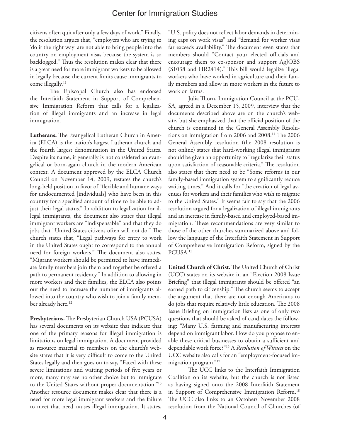citizens often quit after only a few days of work." Finally, the resolution argues that, "employers who are trying to 'do it the right way' are not able to bring people into the country on employment visas because the system is so backlogged." Thus the resolution makes clear that there is a great need for more immigrant workers to be allowed in legally because the current limits cause immigrants to come illegally.<sup>11</sup>

The Episcopal Church also has endorsed the Interfaith Statement in Support of Comprehensive Immigration Reform that calls for a legalization of illegal immigrants and an increase in legal immigration.

**Lutherans.** The Evangelical Lutheran Church in America (ELCA) is the nation's largest Lutheran church and the fourth largest denomination in the United States. Despite its name, it generally is not considered an evangelical or born-again church in the modern American context. A document approved by the ELCA Church Council on November 14, 2009, restates the church's long-held position in favor of "flexible and humane ways for undocumented [individuals] who have been in this country for a specified amount of time to be able to adjust their legal status." In addition to legalization for illegal immigrants, the document also states that illegal immigrant workers are "indispensable" and that they do jobs that "United States citizens often will not do." The church states that, "Legal pathways for entry to work in the United States ought to correspond to the annual need for foreign workers." The document also states, "Migrant workers should be permitted to have immediate family members join them and together be offered a path to permanent residency." In addition to allowing in more workers and their families, the ELCA also points out the need to increase the number of immigrants allowed into the country who wish to join a family member already here.<sup>12</sup>

**Presbyterians.** The Presbyterian Church USA (PCUSA) has several documents on its website that indicate that one of the primary reasons for illegal immigration is limitations on legal immigration. A document provided as resource material to members on the church's website states that it is very difficult to come to the United States legally and then goes on to say, "Faced with these severe limitations and waiting periods of five years or more, many may see no other choice but to immigrate to the United States without proper documentation."13 Another resource document makes clear that there is a need for more legal immigrant workers and the failure to meet that need causes illegal immigration. It states,

"U.S. policy does not reflect labor demands in determining caps on work visas" and "demand for worker visas far exceeds availability." The document even states that members should "Contact your elected officials and encourage them to co-sponsor and support AgJOBS (S1038 and HR2414)." This bill would legalize illegal workers who have worked in agriculture and their family members and allow in more workers in the future to work on farms.

Julia Thorn, Immigration Council at the PCU-SA, agreed in a December 15, 2009, interview that the documents described above are on the church's website, but she emphasized that the official position of the church is contained in the General Assembly Resolutions on immigration from 2006 and 2008.<sup>14</sup> The 2006 General Assembly resolution (the 2008 resolution is not online) states that hard-working illegal immigrants should be given an opportunity to "regularize their status upon satisfaction of reasonable criteria." The resolution also states that there need to be "Some reforms in our family-based immigration system to significantly reduce waiting times." And it calls for "the creation of legal avenues for workers and their families who wish to migrate to the United States." It seems fair to say that the 2006 resolution argued for a legalization of illegal immigrants and an increase in family-based and employed-based immigration. These recommendations are very similar to those of the other churches summarized above and follow the language of the Interfaith Statement in Support of Comprehensive Immigration Reform, signed by the PCUSA.15

**United Church of Christ.** The United Church of Christ (UCC) states on its website in an "Election 2008 Issue Briefing" that illegal immigrants should be offered "an earned path to citizenship." The church seems to accept the argument that there are not enough Americans to do jobs that require relatively little education. The 2008 Issue Briefing on immigration lists as one of only two questions that should be asked of candidates the following: "Many U.S. farming and manufacturing interests depend on immigrant labor. How do you propose to enable these critical businesses to obtain a sufficient and dependable work force?"16 A *Resolution of Witness* on the UCC website also calls for an "employment-focused immigration program."17

The UCC links to the Interfaith Immigration Coalition on its website, but the church is not listed as having signed onto the 2008 Interfaith Statement in Support of Comprehensive Immigration Reform.<sup>18</sup> The UCC also links to an October/ November 2008 resolution from the National Council of Churches (of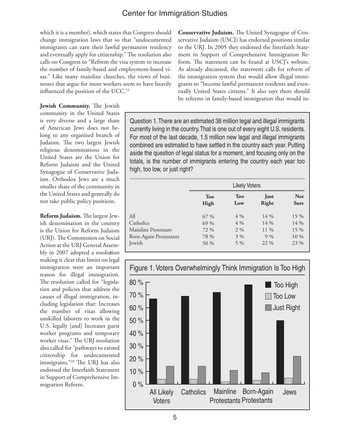which it is a member), which states that Congress should change immigration laws that so that "undocumented immigrants can earn their lawful permanent residency and eventually apply for citizenship." The resolution also calls on Congress to "Reform the visa system to increase the number of family-based and employment-based visas." Like many mainline churches, the views of businesses that argue for more workers seem to have heavily influenced the position of the UCC.<sup>19</sup>

**Jewish Community.** The Jewish community in the United States is very diverse and a large share of American Jews does not belong to any organized branch of Judaism. The two largest Jewish religious denominations in the United States are the Union for Reform Judaism and the United Synagogue of Conservative Judaism. Orthodox Jews are a much smaller share of the community in the United States and generally do not take public policy positions.

**Reform Judaism.** The largest Jewish denomination in the country is the Union for Reform Judaism (URJ). The Commission on Social Action at the URJ General Assembly in 2007 adopted a resolu**t**ion making it clear that limits on legal immigration were an important reason for illegal immigration. The resolution called for "legislation and policies that address the causes of illegal immigration, including legislation that: Increases the number of visas allowing unskilled laborers to work in the U.S. legally [and] Increases guest worker programs and temporary worker visas." The URJ resolution also called for "pathways to earned citizenship for undocumented immigrants."20 The URJ has also endorsed the Interfaith Statement in Support of Comprehensive Immigration Reform.

**Conservative Judaism.** The United Synagogue of Conservative Judaism (USCJ) has endorsed positions similar to the URJ. In 2005 they endorsed the Interfaith Statement in Support of Comprehensive Immigration Reform. The statement can be found at USCJ's website. As already discussed, the statement calls for reform of the immigration system that would allow illegal immigrants to "become lawful permanent residents and eventually United States citizens." It also says there should be reforms in family-based immigration that would in-

Question 1. There are an estimated 38 million legal and illegal immigrants currently living in the country. That is one out of every eight U.S. residents. For most of the last decade, 1.5 million new legal and illegal immigrants combined are estimated to have settled in the country each year. Putting aside the question of legal status for a moment, and focusing only on the totals, is the number of immigrants entering the country each year too high, too low, or just right?

|                        | <b>Likely Voters</b> |            |               |                           |
|------------------------|----------------------|------------|---------------|---------------------------|
|                        | Too<br>High          | Too<br>Low | Just<br>Right | <b>Not</b><br><b>Sure</b> |
| All                    | $67\%$               | $4\%$      | 14 %          | $15\%$                    |
| Catholics              | 69 %                 | $4\%$      | 14 %          | 14 %                      |
| Mainline Protestant    | 72 %                 | $2\%$      | 11 %          | $15\%$                    |
| Born-Again Protestants | 78 %                 | $3\%$      | $9\%$         | $10\%$                    |
| Jewish                 | 50 %                 | $5\%$      | 22 %          | 23 %                      |

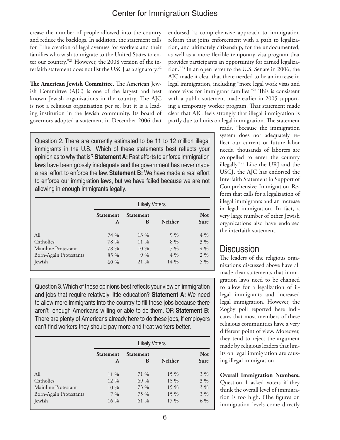crease the number of people allowed into the country and reduce the backlogs. In addition, the statement calls for "The creation of legal avenues for workers and their families who wish to migrate to the United States to enter our country."21 However, the 2008 version of the interfaith statement does not list the USCJ as a signatory.<sup>22</sup>

**The American Jewish Committee.** The American Jewish Committee (AJC) is one of the largest and best known Jewish organizations in the country. The AJC is not a religious organization per se, but it is a leading institution in the Jewish community. Its board of governors adopted a statement in December 2006 that

Question 2. There are currently estimated to be 11 to 12 million illegal immigrants in the U.S. Which of these statements best reflects your opinion as to why that is? **Statement A:** Past efforts to enforce immigration laws have been grossly inadequate and the government has never made a real effort to enforce the law. **Statement B:** We have made a real effort to enforce our immigration laws, but we have failed because we are not allowing in enough immigrants legally.

|                        | <b>Likely Voters</b>  |                       |                |                           |
|------------------------|-----------------------|-----------------------|----------------|---------------------------|
|                        | <b>Statement</b><br>A | <b>Statement</b><br>B | <b>Neither</b> | <b>Not</b><br><b>Sure</b> |
| All                    | 74 %                  | 13 %                  | $9\%$          | $4\%$                     |
| Catholics              | 78 %                  | 11 %                  | $8\%$          | $3\%$                     |
| Mainline Protestant    | 78 %                  | $10\%$                | $7\%$          | 4 %                       |
| Born-Again Protestants | $85\%$                | $9\%$                 | $4\%$          | $2\%$                     |
| <b>Jewish</b>          | 60 %                  | 21 %                  | 14 %           | $5\%$                     |

Question 3. Which of these opinions best reflects your view on immigration and jobs that require relatively little education? **Statement A:** We need to allow more immigrants into the country to fill these jobs because there aren't enough Americans willing or able to do them. OR **Statement B:** There are plenty of Americans already here to do these jobs, if employers can't find workers they should pay more and treat workers better.

|                               | <b>Likely Voters</b>  |                       |                |                           |
|-------------------------------|-----------------------|-----------------------|----------------|---------------------------|
|                               | <b>Statement</b><br>A | <b>Statement</b><br>B | <b>Neither</b> | <b>Not</b><br><b>Sure</b> |
| All                           | 11 %                  | 71 %                  | $15\%$         | $3\%$                     |
| Catholics                     | 12 %                  | 69 %                  | $15\%$         | $3\%$                     |
| Mainline Protestant           | $10\%$                | 73 %                  | $15\%$         | $3\%$                     |
| <b>Born-Again Protestants</b> | $7\%$                 | 75 %                  | $15\%$         | $3\%$                     |
| Jewish                        | 16 %                  | 61 %                  | $17\%$         | 6 %                       |

endorsed "a comprehensive approach to immigration reform that joins enforcement with a path to legalization, and ultimately citizenship, for the undocumented, as well as a more flexible temporary visa program that provides participants an opportunity for earned legalization."23 In an open letter to the U.S. Senate in 2006, the AJC made it clear that there needed to be an increase in legal immigration, including "more legal work visas and more visas for immigrant families."24 This is consistent with a public statement made earlier in 2005 supporting a temporary worker program. That statement made clear that AJC feels strongly that illegal immigration is partly due to limits on legal immigration. The statement

reads, "because the immigration system does not adequately reflect our current or future labor needs, thousands of laborers are compelled to enter the country illegally."25 Like the URJ and the USCJ, the AJC has endorsed the Interfaith Statement in Support of Comprehensive Immigration Reform that calls for a legalization of illegal immigrants and an increase in legal immigration. In fact, a very large number of other Jewish organizations also have endorsed the interfaith statement.

## **Discussion**

The leaders of the religious organizations discussed above have all made clear statements that immigration laws need to be changed to allow for a legalization of illegal immigrants and increased legal immigration. However, the Zogby poll reported here indicates that most members of these religious communities have a very different point of view. Moreover, they tend to reject the argument made by religious leaders that limits on legal immigration are causing illegal immigration.

**Overall Immigration Numbers.** Question 1 asked voters if they think the overall level of immigration is too high. (The figures on immigration levels come directly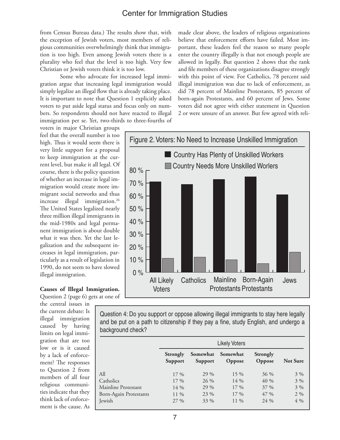from Census Bureau data.) The results show that, with the exception of Jewish voters, most members of religious communities overwhelmingly think that immigration is too high. Even among Jewish voters there is a plurality who feel that the level is too high. Very few Christian or Jewish voters think it is too low.

Some who advocate for increased legal immigration argue that increasing legal immigration would simply legalize an illegal flow that is already taking place. It is important to note that Question 1 explicitly asked voters to put aside legal status and focus only on numbers. So respondents should not have reacted to illegal immigration per se. Yet, two-thirds to three-fourths of

voters in major Christian groups feel that the overall number is too high. Thus it would seem there is very little support for a proposal to keep immigration at the current level, but make it all legal. Of course, there is the policy question of whether an increase in legal immigration would create more immigrant social networks and thus increase illegal immigration.<sup>26</sup> The United States legalized nearly three million illegal immigrants in the mid-1980s and legal permanent immigration is about double what it was then. Yet the last legalization and the subsequent increases in legal immigration, particularly as a result of legislation in 1990, do not seem to have slowed illegal immigration.

**Causes of Illegal Immigration.** Question 2 (page 6) gets at one of

the central issues in the current debate: Is illegal immigration caused by having limits on legal immigration that are too low or is it caused by a lack of enforcement? The responses to Question 2 from members of all four religious communities indicate that they think lack of enforcement is the cause. As

made clear above, the leaders of religious organizations believe that enforcement efforts have failed. Most important, these leaders feel the reason so many people enter the country illegally is that not enough people are allowed in legally. But question 2 shows that the rank and file members of these organizations disagree strongly with this point of view. For Catholics, 78 percent said illegal immigration was due to lack of enforcement, as did 78 percent of Mainline Protestants, 85 percent of born-again Protestants, and 60 percent of Jews. Some voters did not agree with either statement in Question 2 or were unsure of an answer. But few agreed with reli-



Question 4: Do you support or oppose allowing illegal immigrants to stay here legally and be put on a path to citizenship if they pay a fine, study English, and undergo a background check?

|                        | <b>Likely Voters</b>              |                            |                    |                    |                 |
|------------------------|-----------------------------------|----------------------------|--------------------|--------------------|-----------------|
|                        | <b>Strongly</b><br><b>Support</b> | Somewhat<br><b>Support</b> | Somewhat<br>Oppose | Strongly<br>Oppose | <b>Not Sure</b> |
| All                    | $17\%$                            | 29 %                       | $15\%$             | $36\%$             | $3\%$           |
| Catholics              | $17\%$                            | 26 %                       | $14\%$             | 40 %               | $3\%$           |
| Mainline Protestant    | $14\%$                            | 29 %                       | $17\%$             | $37\%$             | $3\%$           |
| Born-Again Protestants | $11\%$                            | 23 %                       | $17\%$             | $47\%$             | $2\%$           |
| Jewish                 | $27\%$                            | 33 %                       | 11 %               | 24 %               | $4\%$           |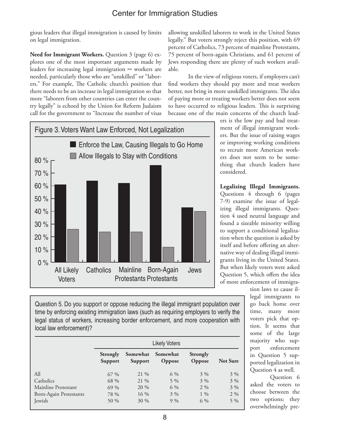gious leaders that illegal immigration is caused by limits on legal immigration.

Need for Immigrant Workers. Question 3 (page 6) explores one of the most important arguments made by leaders for increasing legal immigration ─ workers are needed, particularly those who are "unskilled" or "laborers." For example, The Catholic church's position that there needs to be an increase in legal immigration so that more "laborers from other countries can enter the country legally" is echoed by the Union for Reform Judaism call for the government to "Increase the number of visas

allowing unskilled laborers to work in the United States legally." But voters strongly reject this position, with 69 percent of Catholics, 73 percent of mainline Protestants, 75 percent of born-again Christians, and 61 percent of Jews responding there are plenty of such workers available.

In the view of religious voters, if employers can't find workers they should pay more and treat workers better, not bring in more unskilled immigrants. The idea of paying more or treating workers better does not seem to have occurred to religious leaders. This is surprising because one of the main concerns of the church lead-



ers is the low pay and bad treatment of illegal immigrant workers. But the issue of raising wages or improving working conditions to recruit more American workers does not seem to be something that church leaders have considered.

**Legalizing Illegal Immigrants.** Questions 4 through 6 (pages 7-9) examine the issue of legalizing illegal immigrants. Question 4 used neutral language and found a sizeable minority willing to support a conditional legalization when the question is asked by itself and before offering an alternative way of dealing illegal immigrants living in the United States. But when likely voters were asked Question 5, which offers the idea of more enforcement of immigra-

> tion laws to cause illegal immigrants to go back home over time, many more voters pick that option. It seems that some of the large majority who support enforcement in Question 5 supported legalization in Question 4 as well.

> Question 6 asked the voters to choose between the two options; they overwhelmingly pre-

Question 5. Do you support or oppose reducing the illegal immigrant population over time by enforcing existing immigration laws (such as requiring employers to verify the legal status of workers, increasing border enforcement, and more cooperation with local law enforcement)?

|                        | <b>Likely Voters</b>              |                     |                    |                    |                 |
|------------------------|-----------------------------------|---------------------|--------------------|--------------------|-----------------|
|                        | <b>Strongly</b><br><b>Support</b> | Somewhat<br>Support | Somewhat<br>Oppose | Strongly<br>Oppose | <b>Not Sure</b> |
| All                    | $67\%$                            | 21 %                | $6\%$              | $3\%$              | $3\%$           |
| Catholics              | 68 %                              | 21 %                | $5\%$              | $3\%$              | $3\%$           |
| Mainline Protestant    | $69\%$                            | 20 %                | $6\%$              | $2\%$              | $3\%$           |
| Born-Again Protestants | 78 %                              | $16\%$              | $3\%$              | $1\%$              | $2\%$           |
| Jewish                 | 50 %                              | $30\%$              | $9\%$              | 6 %                | $5\%$           |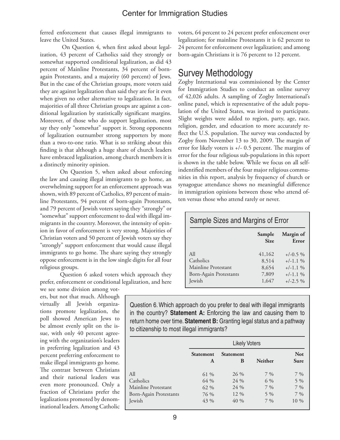ferred enforcement that causes illegal immigrants to leave the United States.

 On Question 4, when first asked about legalization, 43 percent of Catholics said they strongly or somewhat supported conditional legalization, as did 43 percent of Mainline Protestants, 34 percent of bornagain Protestants, and a majority (60 percent) of Jews. But in the case of the Christian groups, more voters said they are against legalization than said they are for it even when given no other alternative to legalization. In fact, majorities of all three Christian groups are against a conditional legalization by statistically significant margins. Moreover, of those who do support legalization, most say they only "somewhat" support it. Strong opponents of legalization outnumber strong supporters by more than a two-to-one ratio. What is so striking about this finding is that although a huge share of church leaders have embraced legalization, among church members it is a distinctly minority opinion.

On Question 5, when asked about enforcing the law and causing illegal immigrants to go home, an overwhelming support for an enforcement approach was shown, with 89 percent of Catholics, 89 percent of mainline Protestants, 94 percent of born-again Protestants, and 79 percent of Jewish voters saying they "strongly" or "somewhat" support enforcement to deal with illegal immigrants in the country. Moreover, the intensity of opinion in favor of enforcement is very strong. Majorities of Christian voters and 50 percent of Jewish voters say they "strongly" support enforcement that would cause illegal immigrants to go home. The share saying they strongly oppose enforcement is in the low single digits for all four religious groups.

Question 6 asked voters which approach they prefer, enforcement or conditional legalization, and here we see some division among vot-

ers, but not that much. Although virtually all Jewish organizations promote legalization, the poll showed American Jews to be almost evenly split on the issue, with only 40 percent agreeing with the organization's leaders in preferring legalization and 43 percent preferring enforcement to make illegal immigrants go home. The contrast between Christians and their national leaders was even more pronounced. Only a fraction of Christians prefer the legalizations promoted by denominational leaders. Among Catholic

voters, 64 percent to 24 percent prefer enforcement over legalization; for mainline Protestants it is 62 percent to 24 percent for enforcement over legalization; and among born-again Christians it is 76 percent to 12 percent.

### Survey Methodology

Zogby International was commissioned by the Center for Immigration Studies to conduct an online survey of 42,026 adults. A sampling of Zogby International's online panel, which is representative of the adult population of the United States, was invited to participate. Slight weights were added to region, party, age, race, religion, gender, and education to more accurately reflect the U.S. population. The survey was conducted by Zogby from November 13 to 30, 2009. The margin of error for likely voters is +/- 0.5 percent. The margins of error for the four religious sub-populations in this report is shown in the table below. While we focus on all selfindentified members of the four major religious communities in this report, analysis by frequency of church or synagogue attendance shows no meaningful difference in immigration opinions between those who attend often versus those who attend rarely or never.

| Sample Sizes and Margins of Error                                           |                                            |                                                                    |  |  |  |
|-----------------------------------------------------------------------------|--------------------------------------------|--------------------------------------------------------------------|--|--|--|
| Margin of<br>Sample<br><b>Size</b><br>Error                                 |                                            |                                                                    |  |  |  |
| A11<br>Catholics<br>Mainline Protestant<br>Born-Again Protestants<br>Jewish | 41,162<br>8,514<br>8,654<br>7,809<br>1,647 | $+/-0.5\%$<br>$+/-1.1\%$<br>$+/-1.1\%$<br>$+/-1.1\%$<br>$+/-2.5\%$ |  |  |  |

Question 6. Which approach do you prefer to deal with illegal immigrants in the country? **Statement A:** Enforcing the law and causing them to return home over time. **Statement B:** Granting legal status and a pathway to citizenship to most illegal immigrants?

|                               | <b>Likely Voters</b>  |                       |                |                           |
|-------------------------------|-----------------------|-----------------------|----------------|---------------------------|
|                               | <b>Statement</b><br>A | <b>Statement</b><br>B | <b>Neither</b> | <b>Not</b><br><b>Sure</b> |
| All                           | 61 %                  | 26 %                  | $7\%$          | $7\%$                     |
| Catholics                     | 64 %                  | 24 %                  | 6 %            | 5 %                       |
| Mainline Protestant           | 62 %                  | $24\%$                | $7\%$          | $7\%$                     |
| <b>Born-Again Protestants</b> | 76 %                  | 12 %                  | $5\%$          | $7\%$                     |
| Jewish                        | 43 %                  | 40 %                  | $7\%$          | 10 %                      |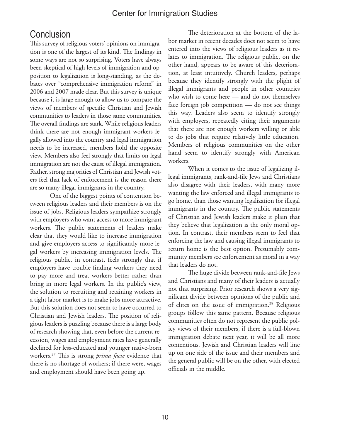## **Conclusion**

This survey of religious voters' opinions on immigration is one of the largest of its kind. The findings in some ways are not so surprising. Voters have always been skeptical of high levels of immigration and opposition to legalization is long-standing, as the debates over "comprehensive immigration reform" in 2006 and 2007 made clear. But this survey is unique because it is large enough to allow us to compare the views of members of specific Christian and Jewish communities to leaders in those same communities. The overall findings are stark. While religious leaders think there are not enough immigrant workers legally allowed into the country and legal immigration needs to be increased, members hold the opposite view. Members also feel strongly that limits on legal immigration are not the cause of illegal immigration. Rather, strong majorities of Christian and Jewish voters feel that lack of enforcement is the reason there are so many illegal immigrants in the country.

One of the biggest points of contention between religious leaders and their members is on the issue of jobs. Religious leaders sympathize strongly with employers who want access to more immigrant workers. The public statements of leaders make clear that they would like to increase immigration and give employers access to significantly more legal workers by increasing immigration levels. The religious public, in contrast, feels strongly that if employers have trouble finding workers they need to pay more and treat workers better rather than bring in more legal workers. In the public's view, the solution to recruiting and retaining workers in a tight labor market is to make jobs more attractive. But this solution does not seem to have occurred to Christian and Jewish leaders. The position of religious leaders is puzzling because there is a large body of research showing that, even before the current recession, wages and employment rates have generally declined for less-educated and younger native-born workers.27 This is strong *prima facie* evidence that there is no shortage of workers; if there were, wages and employment should have been going up.

The deterioration at the bottom of the labor market in recent decades does not seem to have entered into the views of religious leaders as it relates to immigration. The religious public, on the other hand, appears to be aware of this deterioration, at least intuitively. Church leaders, perhaps because they identify strongly with the plight of illegal immigrants and people in other countries who wish to come here — and do not themselves face foreign job competition — do not see things this way. Leaders also seem to identify strongly with employers, repeatedly citing their arguments that there are not enough workers willing or able to do jobs that require relatively little education. Members of religious communities on the other hand seem to identify strongly with American workers.

When it comes to the issue of legalizing illegal immigrants, rank-and-file Jews and Christians also disagree with their leaders, with many more wanting the law enforced and illegal immigrants to go home, than those wanting legalization for illegal immigrants in the country. The public statements of Christian and Jewish leaders make it plain that they believe that legalization is the only moral option. In contrast, their members seem to feel that enforcing the law and causing illegal immigrants to return home is the best option. Presumably community members see enforcement as moral in a way that leaders do not.

The huge divide between rank-and-file Jews and Christians and many of their leaders is actually not that surprising. Prior research shows a very significant divide between opinions of the public and of elites on the issue of immigration.<sup>28</sup> Religious groups follow this same pattern. Because religious communities often do not represent the public policy views of their members, if there is a full-blown immigration debate next year, it will be all more contentious. Jewish and Christian leaders will line up on one side of the issue and their members and the general public will be on the other, with elected officials in the middle.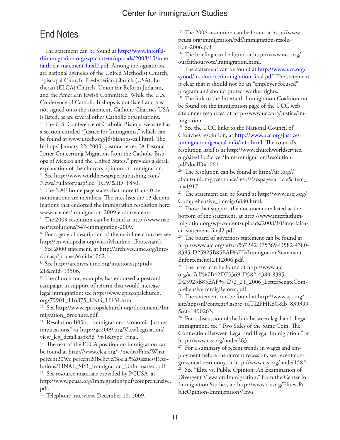## End Notes

<sup>1</sup> The statement can be found at http://www.interfaithimmigration.org/wp-content/uploads/2008/10/interfaith-cir-statement-final2.pdf. Among the signatories are national agencies of the United Methodist Church, Episcopal Church, Presbyterian Church (USA), Lutheran (ELCA) Church, Union for Reform Judaism, and the American Jewish Committee. While the U.S. Conference of Catholic Bishops is not listed and has not signed onto the statement, Catholic Charities USA is listed, as are several other Catholic organizations. 2 The U.S. Conference of Catholic Bishops website has a section entitled "Justice for Immigrants," which can be found at www.usccb.org/jfi/bishops-call.html. The bishops' January 22, 2003, pastoral letter, "A Pastoral Letter Concerning Migration from the Catholic Bishops of Mexico and the United States," provides a detail explanation of the church's opinion on immigration. 3 See http://www.worldnewspaperpublishing.com/

News/FullStory.asp?loc=TCW&ID=1850.

 $4$  The NAE home page states that more than  $40$  denominations are members. The sites lists the 13 denominations that endorsed the immigration resolution here: www.nae.net/immigration-2009-endorsements.

5 The 2009 resolution can be found at http://www.nae. net/resolutions/347-immigration-2009.

6 For a general description of the mainline churches see http://en.wikipedia.org/wiki/Mainline\_(Protestant).

7 See 2000 statement, at http://archives.umc.org/interior.asp?ptid=4&mid=1062.

8 See http://archives.umc.org/interior.asp?ptid= 21&mid=13506.

9 The church for, example, has endorsed a postcard campaign in support of reform that would increase legal immigration; see http://www.episcopalchurch. org/79901\_116875\_ENG\_HTM.htm.

10 See http://www.episcopalchurch.org/documents/Immigration\_Brochure.pdf.

<sup>11</sup> Resolution B006, "Immigration: Economic Justice implications," at http://gc2009.org/ViewLegislation/ view\_leg\_detail.aspx?id=961&type=Final.

<sup>12</sup> The text of the ELCA position on immigration can be found at http://www.elca.org/~/media/Files/What percent20We percent20Believe/Social%20Issues/Resolutions/FINAL\_SPR\_Immigration\_Unformatted.pdf. <sup>13</sup> See resource materials provided by PCUSA, at:

http://www.pcusa.org/immigration/pdf/comprehensive. pdf.

<sup>14</sup> Telephone interview, December 15, 2009.

15 The 2006 resolution can be found at http://www. pcusa.org/immigration/pdf/immigration-resolution-2006.pdf.

16 The briefing can be found at http://www.ucc.org/ ourfaithourvote/immigration.html.

<sup>17</sup> The statement can be found at http://www.ucc.org/ synod/resolutions/immigration-final.pdf. The statement is clear that it should not be an "employer focused" program and should protect worker rights.

<sup>18</sup> The link to the Interfaith Immigration Coalition can be found on the immigration page of the UCC web site under resources, at http://www.ucc.org/justice/immigration.

<sup>19</sup> See the UCC links to the National Council of Churches resolution, at http://www.ucc.org/justice/ immigration/general-info/info.html. The council's resolution itself is at http://www.churchworldservice. org/site/DocServer/JointImmigrationResolution. pdf?docID=1061.

20 The resolution can be found at http://urj.org// about/union/governance/reso//?syspage=article&item\_ id=1917.

21 The statement can be found at http://www.uscj.org/ Comprehensive\_Immigr6880.html.

<sup>22</sup> Those that support the document are listed at the bottom of the statement, at http://www.interfaithimmigration.org/wp-content/uploads/2008/10/interfaithcir-statement-final2.pdf.

<sup>23</sup> The board of governors statement can be found at http://www.ajc.org/atf/cf/%7B42D75369-D582-4380- 8395-D25925B85EAF%7D/ImmigrationStatement-Enforcement12112006.pdf.

24 The letter can be found at http://www.ajc. org/atf/cf/%7B42D75369-D582-4380-8395-

D25925B85EAF%7D/2\_21\_2006\_LetterSenateComprehensiveImmigReform.pdf.

25 The statement can be found at http://www.ajc.org/ site/apps/nl/content3.asp?c=ijITI2PHKoG&b=839399 &ct=1490263.

<sup>26</sup> For a discussion of the link between legal and illegal immigration, see "Two Sides of the Same Coin: The Connection Between Legal and Illegal Immigration," at http://www.cis.org/node/263.

<sup>27</sup> For a summary of recent trends in wages and employment before the current recession, see recent congressional testimony, at http://www.cis.org/node/1582. See "Elite vs. Public Opinion: An Examination of Divergent Views on Immigration," from the Center for Immigration Studies, at: http://www.cis.org/ElitevsPublicOpinion-ImmigrationViews.